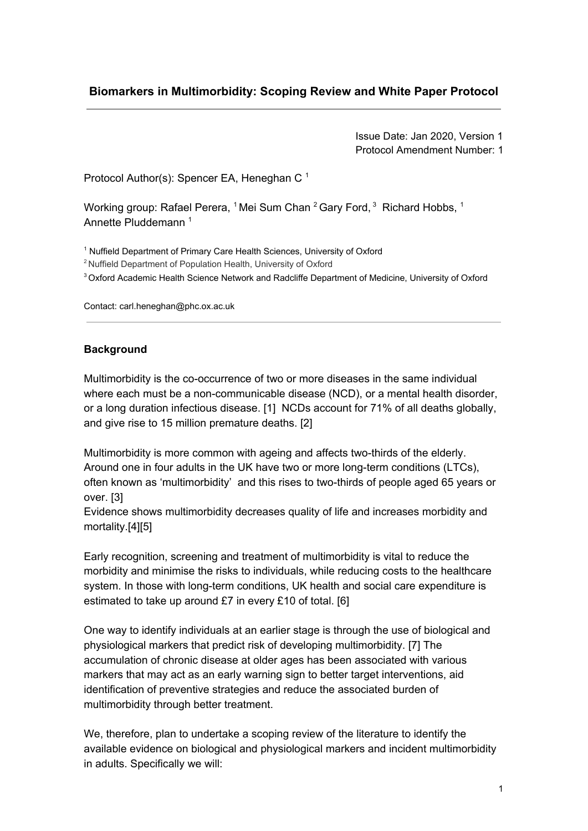# **Biomarkers in Multimorbidity: Scoping Review and White Paper Protocol**

Issue Date: Jan 2020, Version 1 Protocol Amendment Number: 1

Protocol Author(s): Spencer EA, Heneghan C<sup>1</sup>

Working group: Rafael Perera,  $^1$ Mei Sum Chan  $^2$ Gary Ford,  $^3$  Richard Hobbs,  $^1$ Annette Pluddemann<sup>1</sup>

<sup>1</sup> Nuffield Department of Primary Care Health Sciences, University of Oxford

- <sup>2</sup> Nuffield Department of Population Health, University of Oxford
- <sup>3</sup> Oxford Academic Health Science Network and Radcliffe Department of Medicine, University of Oxford

Contact: carl.heneghan@phc.ox.ac.uk

#### **Background**

Multimorbidity is the co-occurrence of two or more diseases in the same individual where each must be a non-communicable disease (NCD), or a mental health disorder, or a long duration infectious disease. [\[1\]](https://paperpile.com/c/6PPPup/R7pR) NCDs account for 71% of all deaths globally, and give rise to 15 million premature deaths. [\[2\]](https://paperpile.com/c/6PPPup/I4EM)

Multimorbidity is more common with ageing and affects two-thirds of the elderly. Around one in four adults in the UK have two or more long-term conditions (LTCs), often known as 'multimorbidity' and this rises to two-thirds of people aged 65 years or over. [\[3\]](https://paperpile.com/c/6PPPup/zOaO)

Evidence shows multimorbidity decreases quality of life and increases morbidity and mortality.[\[4\]](https://paperpile.com/c/6PPPup/Trvf)[\[5\]](https://paperpile.com/c/6PPPup/WtnR)

Early recognition, screening and treatment of multimorbidity is vital to reduce the morbidity and minimise the risks to individuals, while reducing costs to the healthcare system. In those with long-term conditions, UK health and social care expenditure is estimated to take up around £7 in every £10 of total. [\[6\]](https://paperpile.com/c/6PPPup/vNVo)

One way to identify individuals at an earlier stage is through the use of biological and physiological markers that predict risk of developing multimorbidity. [\[7\]](https://paperpile.com/c/6PPPup/sQck) The accumulation of chronic disease at older ages has been associated with various markers that may act as an early warning sign to better target interventions, aid identification of preventive strategies and reduce the associated burden of multimorbidity through better treatment.

We, therefore, plan to undertake a scoping review of the literature to identify the available evidence on biological and physiological markers and incident multimorbidity in adults. Specifically we will: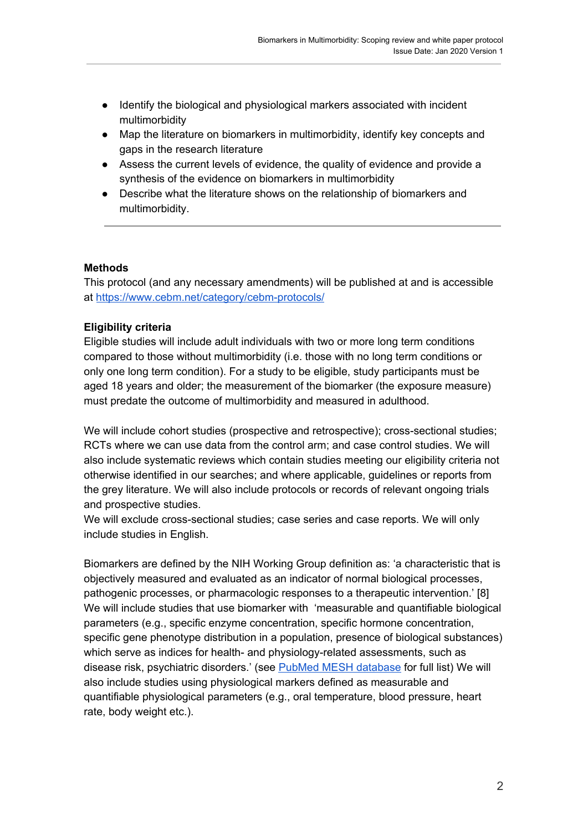- Identify the biological and physiological markers associated with incident multimorbidity
- Map the literature on biomarkers in multimorbidity, identify key concepts and gaps in the research literature
- Assess the current levels of evidence, the quality of evidence and provide a synthesis of the evidence on biomarkers in multimorbidity
- Describe what the literature shows on the relationship of biomarkers and multimorbidity.

## **Methods**

This protocol (and any necessary amendments) will be published at and is accessible at <https://www.cebm.net/category/cebm-protocols/>

#### **Eligibility criteria**

Eligible studies will include adult individuals with two or more long term conditions compared to those without multimorbidity (i.e. those with no long term conditions or only one long term condition). For a study to be eligible, study participants must be aged 18 years and older; the measurement of the biomarker (the exposure measure) must predate the outcome of multimorbidity and measured in adulthood.

We will include cohort studies (prospective and retrospective); cross-sectional studies; RCTs where we can use data from the control arm; and case control studies. We will also include systematic reviews which contain studies meeting our eligibility criteria not otherwise identified in our searches; and where applicable, guidelines or reports from the grey literature. We will also include protocols or records of relevant ongoing trials and prospective studies.

We will exclude cross-sectional studies; case series and case reports. We will only include studies in English.

Biomarkers are defined by the NIH Working Group definition as: 'a characteristic that is objectively measured and evaluated as an indicator of normal biological processes, pathogenic processes, or pharmacologic responses to a therapeutic intervention.' [\[8\]](https://paperpile.com/c/6PPPup/z6Ik) We will include studies that use biomarker with 'measurable and quantifiable biological parameters (e.g., specific enzyme concentration, specific hormone concentration, specific gene phenotype distribution in a population, presence of biological substances) which serve as indices for health- and physiology-related assessments, such as disease risk, psychiatric disorders.' (see PubMed MESH [database](https://www.ncbi.nlm.nih.gov/mesh/68015415) for full list) We will also include studies using physiological markers defined as measurable and quantifiable physiological parameters (e.g., oral temperature, blood pressure, heart rate, body weight etc.).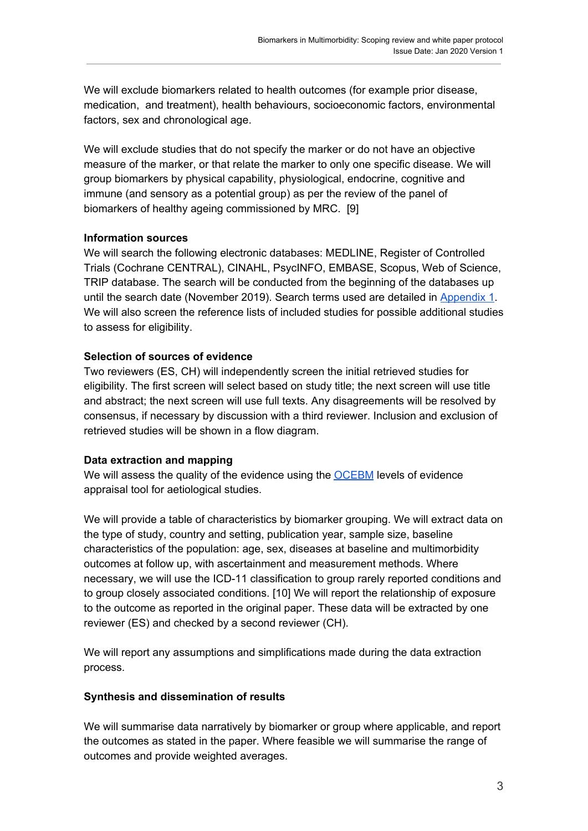We will exclude biomarkers related to health outcomes (for example prior disease, medication, and treatment), health behaviours, socioeconomic factors, environmental factors, sex and chronological age.

We will exclude studies that do not specify the marker or do not have an objective measure of the marker, or that relate the marker to only one specific disease. We will group biomarkers by physical capability, physiological, endocrine, cognitive and immune (and sensory as a potential group) as per the review of the panel of biomarkers of healthy ageing commissioned by MRC. [\[9\]](https://paperpile.com/c/6PPPup/kauw)

## **Information sources**

We will search the following electronic databases: MEDLINE, Register of Controlled Trials (Cochrane CENTRAL), CINAHL, PsycINFO, EMBASE, Scopus, Web of Science, TRIP database. The search will be conducted from the beginning of the databases up until the search date (November 2019). Search terms used are detailed in [Appendix](https://docs.google.com/document/d/1k1d4as-ESvqlYcAZ4vyFIWWZ-AbOxrU05os-p97REAA/edit) 1. We will also screen the reference lists of included studies for possible additional studies to assess for eligibility.

## **Selection of sources of evidence**

Two reviewers (ES, CH) will independently screen the initial retrieved studies for eligibility. The first screen will select based on study title; the next screen will use title and abstract; the next screen will use full texts. Any disagreements will be resolved by consensus, if necessary by discussion with a third reviewer. Inclusion and exclusion of retrieved studies will be shown in a flow diagram.

## **Data extraction and mapping**

We will assess the quality of the evidence using the **[OCEBM](https://www.cebm.net/2016/05/ocebm-levels-of-evidence/)** levels of evidence appraisal tool for aetiological studies.

We will provide a table of characteristics by biomarker grouping. We will extract data on the type of study, country and setting, publication year, sample size, baseline characteristics of the population: age, sex, diseases at baseline and multimorbidity outcomes at follow up, with ascertainment and measurement methods. Where necessary, we will use the ICD-11 classification to group rarely reported conditions and to group closely associated conditions. [\[10\]](https://paperpile.com/c/6PPPup/LlrS) We will report the relationship of exposure to the outcome as reported in the original paper. These data will be extracted by one reviewer (ES) and checked by a second reviewer (CH).

We will report any assumptions and simplifications made during the data extraction process.

## **Synthesis and dissemination of results**

We will summarise data narratively by biomarker or group where applicable, and report the outcomes as stated in the paper. Where feasible we will summarise the range of outcomes and provide weighted averages.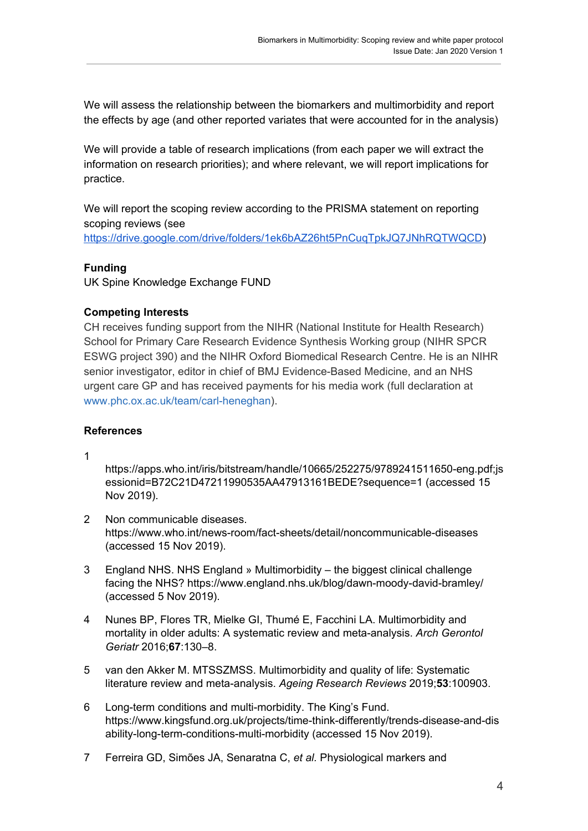We will assess the relationship between the biomarkers and multimorbidity and report the effects by age (and other reported variates that were accounted for in the analysis)

We will provide a table of research implications (from each paper we will extract the information on research priorities); and where relevant, we will report implications for practice.

We will report the scoping review according to the PRISMA statement on reporting scoping reviews (see <https://drive.google.com/drive/folders/1ek6bAZ26ht5PnCuqTpkJQ7JNhRQTWQCD>)

#### **Funding**

UK Spine Knowledge Exchange FUND

#### **Competing Interests**

CH receives funding support from the NIHR (National Institute for Health Research) School for Primary Care Research Evidence Synthesis Working group (NIHR SPCR ESWG project 390) and the NIHR Oxford Biomedical Research Centre. He is an NIHR senior investigator, editor in chief of BMJ Evidence-Based Medicine, and an NHS urgent care GP and has received payments for his media work (full declaration at [www.phc.ox.ac.uk/team/carl-heneghan\)](http://www.phc.ox.ac.uk/team/carl-heneghan).

## **References**

1

[https://apps.who.int/iris/bitstream/handle/10665/252275/9789241511650-eng.pdf;js](https://apps.who.int/iris/bitstream/handle/10665/252275/9789241511650-eng.pdf;jsessionid=B72C21D47211990535AA47913161BEDE?sequence=1) [essionid=B72C21D47211990535AA47913161BEDE?sequence=1](https://apps.who.int/iris/bitstream/handle/10665/252275/9789241511650-eng.pdf;jsessionid=B72C21D47211990535AA47913161BEDE?sequence=1) [\(accessed](http://paperpile.com/b/6PPPup/R7pR) 15 Nov [2019\).](http://paperpile.com/b/6PPPup/R7pR)

- 2 Non [communicable](http://paperpile.com/b/6PPPup/I4EM) diseases. <https://www.who.int/news-room/fact-sheets/detail/noncommunicable-diseases> [\(accessed](http://paperpile.com/b/6PPPup/I4EM) 15 Nov 2019).
- 3 England NHS. NHS England » [Multimorbidity](http://paperpile.com/b/6PPPup/zOaO) the biggest clinical challenge facing the [NHS?](http://paperpile.com/b/6PPPup/zOaO) <https://www.england.nhs.uk/blog/dawn-moody-david-bramley/> [\(accessed](http://paperpile.com/b/6PPPup/zOaO) 5 Nov 2019).
- 4 Nunes BP, Flores TR, Mielke GI, Thumé E, Facchini LA. [Multimorbidity](http://paperpile.com/b/6PPPup/Trvf) and mortality in older adults: A systematic review and [meta-analysis.](http://paperpile.com/b/6PPPup/Trvf) *Arch [Gerontol](http://paperpile.com/b/6PPPup/Trvf) [Geriatr](http://paperpile.com/b/6PPPup/Trvf)* [2016;](http://paperpile.com/b/6PPPup/Trvf)**[67](http://paperpile.com/b/6PPPup/Trvf)**[:130–8.](http://paperpile.com/b/6PPPup/Trvf)
- 5 van den Akker M. MTSSZMSS. [Multimorbidity](http://paperpile.com/b/6PPPup/WtnR) and quality of life: Systematic literature review and [meta-analysis.](http://paperpile.com/b/6PPPup/WtnR) *Ageing [Research](http://paperpile.com/b/6PPPup/WtnR) Reviews* [2019;](http://paperpile.com/b/6PPPup/WtnR)**[53](http://paperpile.com/b/6PPPup/WtnR)**[:100903.](http://paperpile.com/b/6PPPup/WtnR)
- 6 Long-term conditions and [multi-morbidity.](http://paperpile.com/b/6PPPup/vNVo) The King's Fund. [https://www.kingsfund.org.uk/projects/time-think-differently/trends-disease-and-dis](https://www.kingsfund.org.uk/projects/time-think-differently/trends-disease-and-disability-long-term-conditions-multi-morbidity) [ability-long-term-conditions-multi-morbidity](https://www.kingsfund.org.uk/projects/time-think-differently/trends-disease-and-disability-long-term-conditions-multi-morbidity) [\(accessed](http://paperpile.com/b/6PPPup/vNVo) 15 Nov 2019).
- 7 Ferreira GD, Simões JA, [Senaratna](http://paperpile.com/b/6PPPup/sQck) C, *et [al.](http://paperpile.com/b/6PPPup/sQck)* [Physiological](http://paperpile.com/b/6PPPup/sQck) markers and